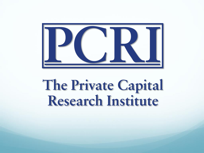

# The Private Capital<br>Research Institute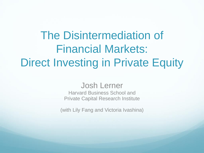## The Disintermediation of Financial Markets: Direct Investing in Private Equity

#### Josh Lerner

Harvard Business School and Private Capital Research Institute

(with Lily Fang and Victoria Ivashina)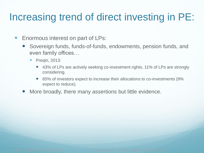### Increasing trend of direct investing in PE:

- **Enormous interest on part of LPs:** 
	- Sovereign funds, funds-of-funds, endowments, pension funds, and even family offices…
		- Preqin, 2013:
			- 43% of LPs are actively seeking co-investment rights, 11% of LPs are strongly considering.
			- 65% of investors expect to increase their allocations to co-investments (9% expect to reduce).
	- More broadly, there many assertions but little evidence.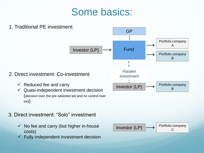#### Some basics:



- 3. Direct investment: "Solo" investment
	- $\checkmark$  No fee and carry (but higher in-house costs)
	- $\checkmark$  Fully independent investment decision

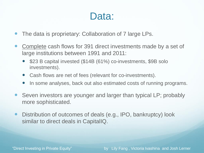#### Data:

- The data is proprietary: Collaboration of 7 large LPs.
- Complete cash flows for 391 direct investments made by a set of large institutions between 1991 and 2011:
	- \$23 B capital invested (\$14B (61%) co-investments, \$9B solo investments).
	- Cash flows are net of fees (relevant for co-investments).
	- In some analyses, back out also estimated costs of running programs.
- Seven investors are younger and larger than typical LP; probably more sophisticated.
- Distribution of outcomes of deals (e.g., IPO, bankruptcy) look similar to direct deals in CapitalIQ.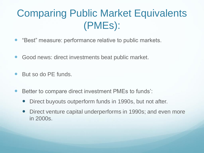### Comparing Public Market Equivalents (PMEs):

- "Best" measure: performance relative to public markets.
- Good news: direct investments beat public market.
- But so do PE funds.
- Better to compare direct investment PMEs to funds':
	- Direct buyouts outperform funds in 1990s, but not after.
	- Direct venture capital underperforms in 1990s; and even more in 2000s.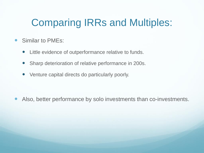#### Comparing IRRs and Multiples:

- Similar to PMEs:
	- Little evidence of outperformance relative to funds.
	- Sharp deterioration of relative performance in 200s.
	- Venture capital directs do particularly poorly.

Also, better performance by solo investments than co-investments.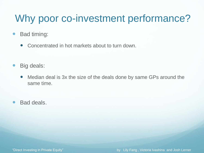#### Why poor co-investment performance?

- Bad timing:
	- Concentrated in hot markets about to turn down.
- Big deals:
	- Median deal is 3x the size of the deals done by same GPs around the same time.
- Bad deals.

"Direct Investing in Private Equity" by Lily Fang , Victoria Ivashina and Josh Lerner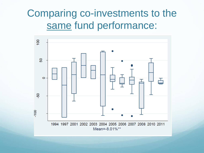#### Comparing co-investments to the same fund performance:

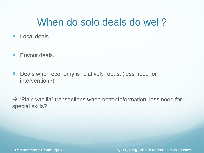#### When do solo deals do well?

- Local deals.
- **•** Buyout deals.
- Deals when economy is relatively robust (less need for intervention?).

 $\rightarrow$  "Plain vanilla" transactions when better information, less need for special skills?

"Direct Investing in Private Equity" by Lily Fang , Victoria Ivashina and Josh Lerner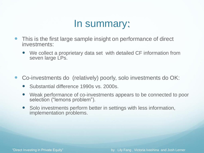#### In summary:

- This is the first large sample insight on performance of direct investments:
	- We collect a proprietary data set with detailed CF information from seven large LPs.
- Co-investments do (relatively) poorly, solo investments do OK:
	- Substantial difference 1990s vs. 2000s.
	- Weak performance of co-investments appears to be connected to poor selection ("lemons problem").
	- Solo investments perform better in settings with less information, implementation problems.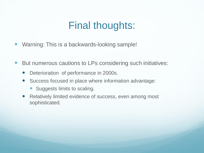#### Final thoughts:

- Warning: This is a backwards-looking sample!
- But numerous cautions to LPs considering such initiatives:
	- Deterioration of performance in 2000s.
	- Success focused in place where information advantage:
		- Suggests limits to scaling.
	- Relatively limited evidence of success, even among most sophisticated.